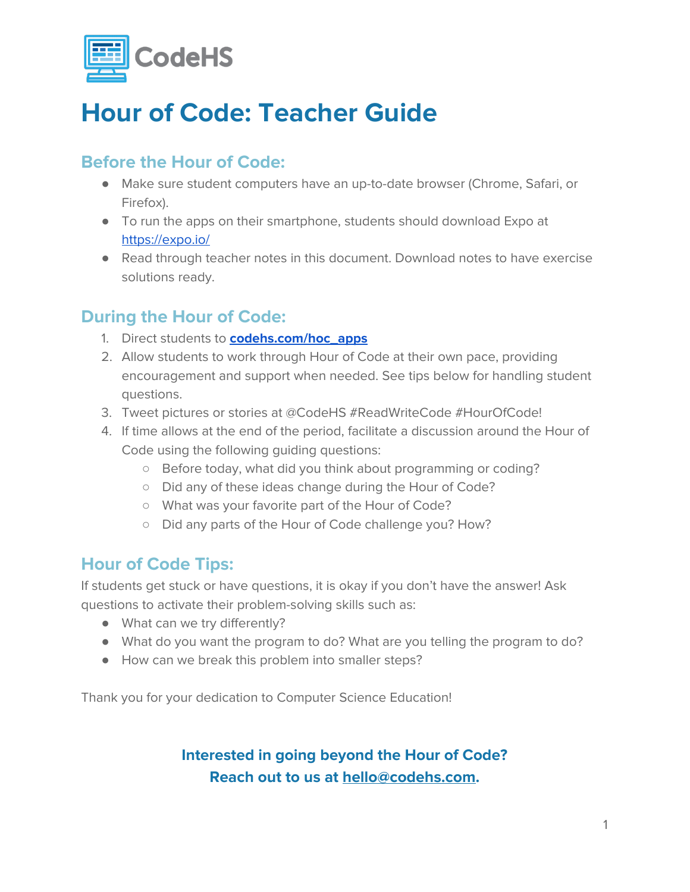

## **Hour of Code: Teacher Guide**

### **Before the Hour of Code:**

- Make sure student computers have an up-to-date browser (Chrome, Safari, or Firefox).
- To run the apps on their smartphone, students should download Expo at <https://expo.io/>
- Read through teacher notes in this document. Download notes to have exercise solutions ready.

#### **During the Hour of Code:**

- 1. Direct students to **[codehs.com/hoc\\_apps](http://codehs.com/hoc_apps)**
- 2. Allow students to work through Hour of Code at their own pace, providing encouragement and support when needed. See tips below for handling student questions.
- 3. Tweet pictures or stories at @CodeHS #ReadWriteCode #HourOfCode!
- 4. If time allows at the end of the period, facilitate a discussion around the Hour of Code using the following guiding questions:
	- Before today, what did you think about programming or coding?
	- Did any of these ideas change during the Hour of Code?
	- What was your favorite part of the Hour of Code?
	- Did any parts of the Hour of Code challenge you? How?

#### **Hour of Code Tips:**

If students get stuck or have questions, it is okay if you don't have the answer! Ask questions to activate their problem-solving skills such as:

- What can we try differently?
- What do you want the program to do? What are you telling the program to do?
- How can we break this problem into smaller steps?

Thank you for your dedication to Computer Science Education!

#### **Interested in going beyond the Hour of Code? Reach out to us at [hello@codehs.com](mailto:hello@codehs.com).**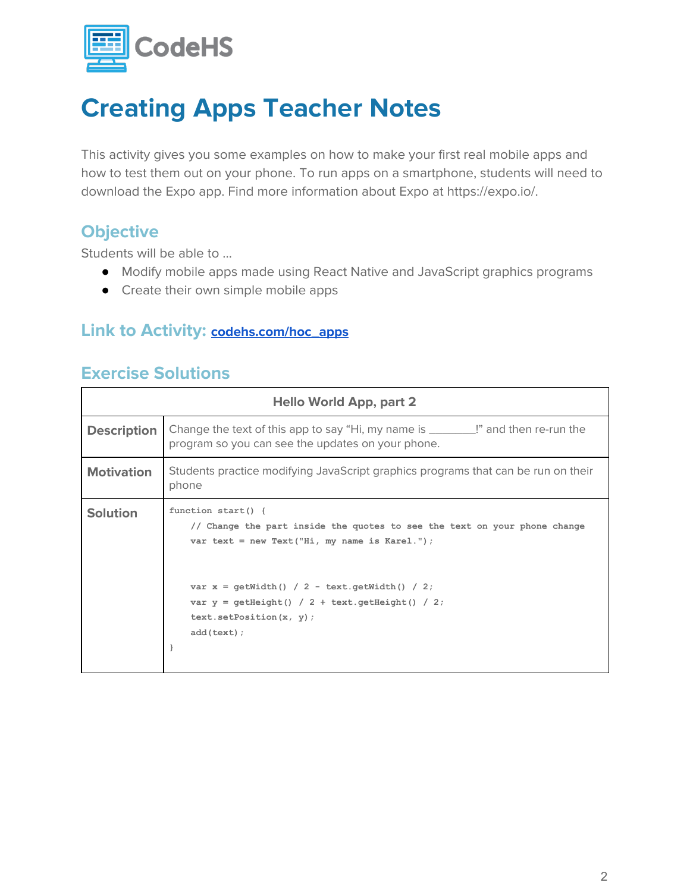

## **Creating Apps Teacher Notes**

This activity gives you some examples on how to make your first real mobile apps and how to test them out on your phone. To run apps on a smartphone, students will need to download the Expo app. Find more information about Expo at https://expo.io/.

#### **Objective**

Students will be able to …

- Modify mobile apps made using React Native and JavaScript graphics programs
- Create their own simple mobile apps

#### **Link to Activity: [codehs.com/hoc\\_apps](http://codehs.com/hoc_apps)**

#### **Exercise Solutions**

| <b>Hello World App, part 2</b> |                                                                                                                                                                                                                                                                                        |  |
|--------------------------------|----------------------------------------------------------------------------------------------------------------------------------------------------------------------------------------------------------------------------------------------------------------------------------------|--|
| <b>Description</b>             | Change the text of this app to say "Hi, my name is ________!" and then re-run the<br>program so you can see the updates on your phone.                                                                                                                                                 |  |
| <b>Motivation</b>              | Students practice modifying JavaScript graphics programs that can be run on their<br>phone                                                                                                                                                                                             |  |
| <b>Solution</b>                | function start() {<br>// Change the part inside the quotes to see the text on your phone change<br>var text = new Text("Hi, my name is Karel.");<br>var $x = getWidth() / 2 - text.getWidth() / 2;$<br>var $y =$ qetHeight() / 2 + text.getHeight() / 2;<br>$text.setPosition(x, y)$ ; |  |
|                                | add(text);                                                                                                                                                                                                                                                                             |  |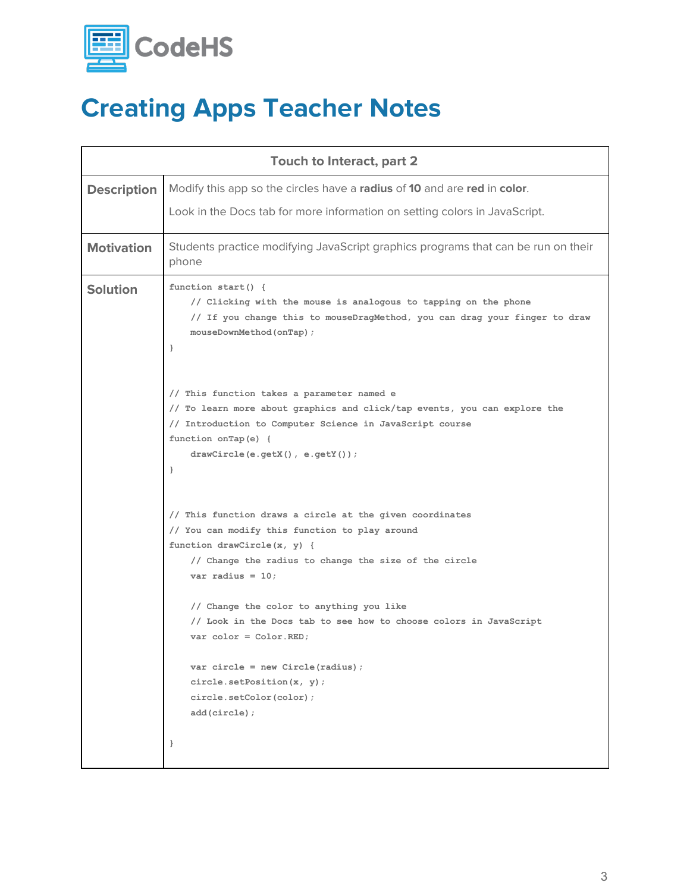

# **Creating Apps Teacher Notes**

| Touch to Interact, part 2 |                                                                                                                                                                                                                                                                           |  |
|---------------------------|---------------------------------------------------------------------------------------------------------------------------------------------------------------------------------------------------------------------------------------------------------------------------|--|
| <b>Description</b>        | Modify this app so the circles have a radius of 10 and are red in color.                                                                                                                                                                                                  |  |
|                           | Look in the Docs tab for more information on setting colors in JavaScript.                                                                                                                                                                                                |  |
| <b>Motivation</b>         | Students practice modifying JavaScript graphics programs that can be run on their<br>phone                                                                                                                                                                                |  |
| <b>Solution</b>           | function start() {<br>// Clicking with the mouse is analogous to tapping on the phone<br>// If you change this to mouseDragMethod, you can drag your finger to draw<br>mouseDownMethod(onTap);<br>$\cdot$                                                                 |  |
|                           | // This function takes a parameter named e<br>// To learn more about graphics and click/tap events, you can explore the<br>// Introduction to Computer Science in JavaScript course<br>function onTap(e) {<br>$drawCircle(e.getX())$ , $e.getY())$ ;<br>$\mathcal{E}$     |  |
|                           | // This function draws a circle at the given coordinates<br>// You can modify this function to play around<br>function drawCircle(x, y) {<br>// Change the radius to change the size of the circle<br>var radius = $10$ ;                                                 |  |
|                           | // Change the color to anything you like<br>// Look in the Docs tab to see how to choose colors in JavaScript<br>$var color = Color.FED$ ;<br>$var$ circle = new Circle(radius);<br>circle.setPosition(x, y);<br>circle.setColor(color);<br>add(circle);<br>$\mathcal{E}$ |  |